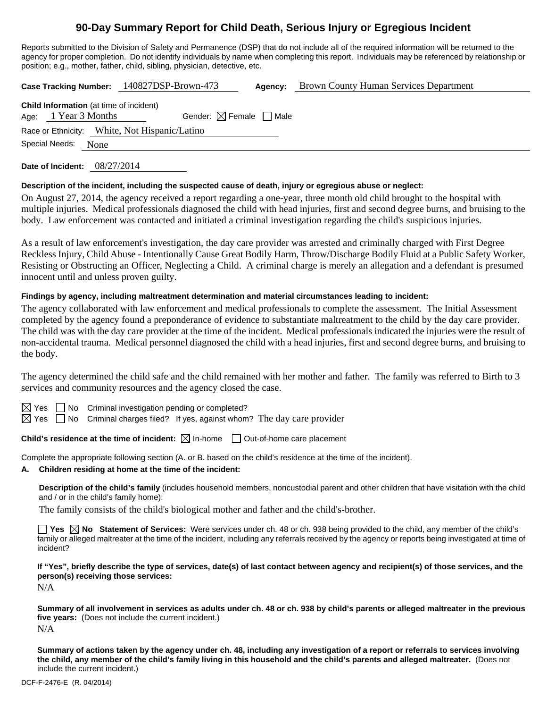# **90-Day Summary Report for Child Death, Serious Injury or Egregious Incident**

Reports submitted to the Division of Safety and Permanence (DSP) that do not include all of the required information will be returned to the agency for proper completion. Do not identify individuals by name when completing this report. Individuals may be referenced by relationship or position; e.g., mother, father, child, sibling, physician, detective, etc.

**Case Tracking Number:** 140827DSP-Brown-473 **Agency:** Brown County Human Services Department

| <b>Child Information</b> (at time of incident) |  |                        |                                        |  |  |  |  |  |  |
|------------------------------------------------|--|------------------------|----------------------------------------|--|--|--|--|--|--|
|                                                |  | Age: $1$ Year 3 Months | Gender: $\boxtimes$ Female $\Box$ Male |  |  |  |  |  |  |
| Race or Ethnicity: White, Not Hispanic/Latino  |  |                        |                                        |  |  |  |  |  |  |
| Special Needs:                                 |  | None                   |                                        |  |  |  |  |  |  |

**Date of Incident:** 08/27/2014

## **Description of the incident, including the suspected cause of death, injury or egregious abuse or neglect:**

On August 27, 2014, the agency received a report regarding a one-year, three month old child brought to the hospital with multiple injuries. Medical professionals diagnosed the child with head injuries, first and second degree burns, and bruising to the body. Law enforcement was contacted and initiated a criminal investigation regarding the child's suspicious injuries.

As a result of law enforcement's investigation, the day care provider was arrested and criminally charged with First Degree Reckless Injury, Child Abuse - Intentionally Cause Great Bodily Harm, Throw/Discharge Bodily Fluid at a Public Safety Worker, Resisting or Obstructing an Officer, Neglecting a Child. A criminal charge is merely an allegation and a defendant is presumed innocent until and unless proven guilty.

## **Findings by agency, including maltreatment determination and material circumstances leading to incident:**

The agency collaborated with law enforcement and medical professionals to complete the assessment. The Initial Assessment completed by the agency found a preponderance of evidence to substantiate maltreatment to the child by the day care provider. The child was with the day care provider at the time of the incident. Medical professionals indicated the injuries were the result of non-accidental trauma. Medical personnel diagnosed the child with a head injuries, first and second degree burns, and bruising to the body.

The agency determined the child safe and the child remained with her mother and father. The family was referred to Birth to 3 services and community resources and the agency closed the case.

 $\Box$  No Criminal investigation pending or completed?

 $\boxtimes$  Yes  $\Box$  No Criminal charges filed? If yes, against whom? The day care provider

**Child's residence at the time of incident:**  $\boxtimes$  In-home  $\Box$  Out-of-home care placement

Complete the appropriate following section (A. or B. based on the child's residence at the time of the incident).

#### **A. Children residing at home at the time of the incident:**

**Description of the child's family** (includes household members, noncustodial parent and other children that have visitation with the child and / or in the child's family home):

The family consists of the child's biological mother and father and the child's-brother.

**Yes**  $\boxtimes$  **No** Statement of Services: Were services under ch. 48 or ch. 938 being provided to the child, any member of the child's family or alleged maltreater at the time of the incident, including any referrals received by the agency or reports being investigated at time of incident?

**If "Yes", briefly describe the type of services, date(s) of last contact between agency and recipient(s) of those services, and the person(s) receiving those services:** 

N/A

**Summary of all involvement in services as adults under ch. 48 or ch. 938 by child's parents or alleged maltreater in the previous five years:** (Does not include the current incident.) N/A

**Summary of actions taken by the agency under ch. 48, including any investigation of a report or referrals to services involving the child, any member of the child's family living in this household and the child's parents and alleged maltreater.** (Does not include the current incident.)